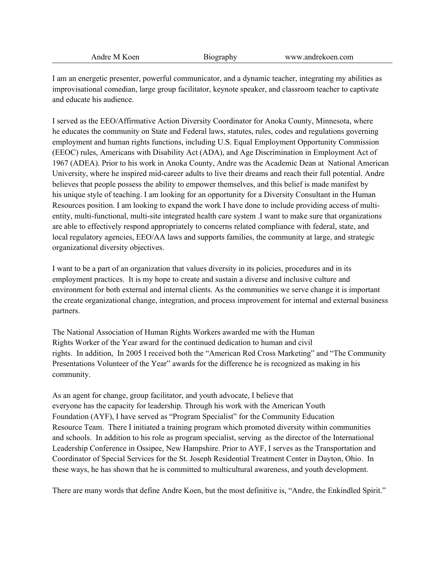I am an energetic presenter, powerful communicator, and a dynamic teacher, integrating my abilities as improvisational comedian, large group facilitator, keynote speaker, and classroom teacher to captivate and educate his audience.

I served as the EEO/Affirmative Action Diversity Coordinator for Anoka County, Minnesota, where he educates the community on State and Federal laws, statutes, rules, codes and regulations governing employment and human rights functions, including U.S. Equal Employment Opportunity Commission (EEOC) rules, Americans with Disability Act (ADA), and Age Discrimination in Employment Act of 1967 (ADEA). Prior to his work in Anoka County, Andre was the Academic Dean at National American University, where he inspired mid-career adults to live their dreams and reach their full potential. Andre believes that people possess the ability to empower themselves, and this belief is made manifest by his unique style of teaching. I am looking for an opportunity for a Diversity Consultant in the Human Resources position. I am looking to expand the work I have done to include providing access of multientity, multi-functional, multi-site integrated health care system .I want to make sure that organizations are able to effectively respond appropriately to concerns related compliance with federal, state, and local regulatory agencies, EEO/AA laws and supports families, the community at large, and strategic organizational diversity objectives.

I want to be a part of an organization that values diversity in its policies, procedures and in its employment practices. It is my hope to create and sustain a diverse and inclusive culture and environment for both external and internal clients. As the communities we serve change it is important the create organizational change, integration, and process improvement for internal and external business partners.

The National Association of Human Rights Workers awarded me with the Human Rights Worker of the Year award for the continued dedication to human and civil rights. In addition, In 2005 I received both the "American Red Cross Marketing" and "The Community Presentations Volunteer of the Year" awards for the difference he is recognized as making in his community.

As an agent for change, group facilitator, and youth advocate, I believe that everyone has the capacity for leadership. Through his work with the American Youth Foundation (AYF), I have served as "Program Specialist" for the Community Education Resource Team. There I initiated a training program which promoted diversity within communities and schools. In addition to his role as program specialist, serving as the director of the International Leadership Conference in Ossipee, New Hampshire. Prior to AYF, I serves as the Transportation and Coordinator of Special Services for the St. Joseph Residential Treatment Center in Dayton, Ohio. In these ways, he has shown that he is committed to multicultural awareness, and youth development.

There are many words that define Andre Koen, but the most definitive is, "Andre, the Enkindled Spirit."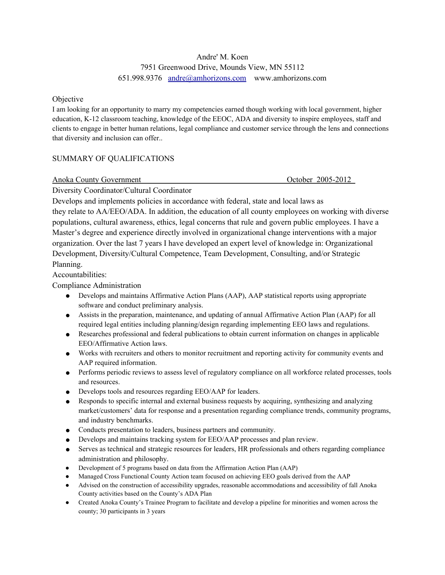## Andre' M. Koen

# 7951 Greenwood Drive, Mounds View, MN 55112 651.998.9376 [andre@amhorizons.com](mailto:andre@amhorizons.com) www.amhorizons.com

## **Objective**

I am looking for an opportunity to marry my competencies earned though working with local government, higher education, K-12 classroom teaching, knowledge of the EEOC, ADA and diversity to inspire employees, staff and clients to engage in better human relations, legal compliance and customer service through the lens and connections that diversity and inclusion can offer..

## SUMMARY OF QUALIFICATIONS

Anoka County Government October 2005-2012

Diversity Coordinator/Cultural Coordinator

Develops and implements policies in accordance with federal, state and local laws as they relate to AA/EEO/ADA. In addition, the education of all county employees on working with diverse populations, cultural awareness, ethics, legal concerns that rule and govern public employees. I have a Master's degree and experience directly involved in organizational change interventions with a major organization. Over the last 7 years I have developed an expert level of knowledge in: Organizational Development, Diversity/Cultural Competence, Team Development, Consulting, and/or Strategic Planning.

## Accountabilities:

Compliance Administration

- Develops and maintains Affirmative Action Plans (AAP), AAP statistical reports using appropriate software and conduct preliminary analysis.
- Assists in the preparation, maintenance, and updating of annual Affirmative Action Plan (AAP) for all required legal entities including planning/design regarding implementing EEO laws and regulations.
- Researches professional and federal publications to obtain current information on changes in applicable EEO/Affirmative Action laws.
- Works with recruiters and others to monitor recruitment and reporting activity for community events and AAP required information.
- Performs periodic reviews to assess level of regulatory compliance on all workforce related processes, tools and resources.
- Develops tools and resources regarding EEO/AAP for leaders.
- Responds to specific internal and external business requests by acquiring, synthesizing and analyzing market/customers' data for response and a presentation regarding compliance trends, community programs, and industry benchmarks.
- Conducts presentation to leaders, business partners and community.
- Develops and maintains tracking system for EEO/AAP processes and plan review.
- Serves as technical and strategic resources for leaders, HR professionals and others regarding compliance administration and philosophy.
- Development of 5 programs based on data from the Affirmation Action Plan (AAP)
- Managed Cross Functional County Action team focused on achieving EEO goals derived from the AAP
- Advised on the construction of accessibility upgrades, reasonable accommodations and accessibility of fall Anoka County activities based on the County's ADA Plan
- Created Anoka County's Trainee Program to facilitate and develop a pipeline for minorities and women across the county; 30 participants in 3 years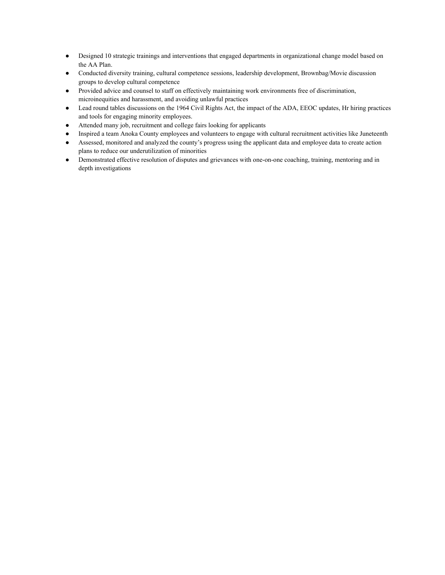- Designed 10 strategic trainings and interventions that engaged departments in organizational change model based on the AA Plan.
- Conducted diversity training, cultural competence sessions, leadership development, Brownbag/Movie discussion groups to develop cultural competence
- Provided advice and counsel to staff on effectively maintaining work environments free of discrimination, microinequities and harassment, and avoiding unlawful practices
- Lead round tables discussions on the 1964 Civil Rights Act, the impact of the ADA, EEOC updates, Hr hiring practices and tools for engaging minority employees.
- Attended many job, recruitment and college fairs looking for applicants
- Inspired a team Anoka County employees and volunteers to engage with cultural recruitment activities like Juneteenth
- Assessed, monitored and analyzed the county's progress using the applicant data and employee data to create action plans to reduce our underutilization of minorities
- Demonstrated effective resolution of disputes and grievances with one-on-one coaching, training, mentoring and in depth investigations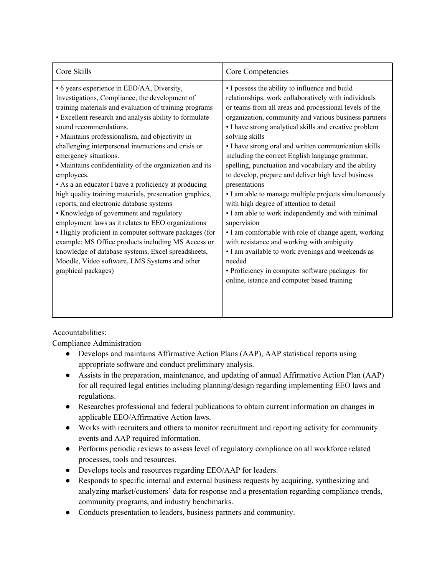| Core Skills                                                                                                                                                                                                                                                                                                                                                                                                                                                                                                                                                                                                                                                                                                                                                                                                                                                                                                                                                            | Core Competencies                                                                                                                                                                                                                                                                                                                                                                                                                                                                                                                                                                                                                                                                                                                                                                                                                                                                                                                                                                                   |
|------------------------------------------------------------------------------------------------------------------------------------------------------------------------------------------------------------------------------------------------------------------------------------------------------------------------------------------------------------------------------------------------------------------------------------------------------------------------------------------------------------------------------------------------------------------------------------------------------------------------------------------------------------------------------------------------------------------------------------------------------------------------------------------------------------------------------------------------------------------------------------------------------------------------------------------------------------------------|-----------------------------------------------------------------------------------------------------------------------------------------------------------------------------------------------------------------------------------------------------------------------------------------------------------------------------------------------------------------------------------------------------------------------------------------------------------------------------------------------------------------------------------------------------------------------------------------------------------------------------------------------------------------------------------------------------------------------------------------------------------------------------------------------------------------------------------------------------------------------------------------------------------------------------------------------------------------------------------------------------|
| • 6 years experience in EEO/AA, Diversity,<br>Investigations, Compliance, the development of<br>training materials and evaluation of training programs<br>• Excellent research and analysis ability to formulate<br>sound recommendations.<br>• Maintains professionalism, and objectivity in<br>challenging interpersonal interactions and crisis or<br>emergency situations.<br>• Maintains confidentiality of the organization and its<br>employees.<br>• As a an educator I have a proficiency at producing<br>high quality training materials, presentation graphics,<br>reports, and electronic database systems<br>• Knowledge of government and regulatory<br>employment laws as it relates to EEO organizations<br>• Highly proficient in computer software packages (for<br>example: MS Office products including MS Access or<br>knowledge of database systems, Excel spreadsheets,<br>Moodle, Video software, LMS Systems and other<br>graphical packages) | • I possess the ability to influence and build<br>relationships, work collaboratively with individuals<br>or teams from all areas and processional levels of the<br>organization, community and various business partners<br>• I have strong analytical skills and creative problem<br>solving skills<br>• I have strong oral and written communication skills<br>including the correct English language grammar,<br>spelling, punctuation and vocabulary and the ability<br>to develop, prepare and deliver high level business<br>presentations<br>• I am able to manage multiple projects simultaneously<br>with high degree of attention to detail<br>• I am able to work independently and with minimal<br>supervision<br>• I am comfortable with role of change agent, working<br>with resistance and working with ambiguity<br>• I am available to work evenings and weekends as<br>needed<br>• Proficiency in computer software packages for<br>online, istance and computer based training |

Accountabilities:

Compliance Administration

- Develops and maintains Affirmative Action Plans (AAP), AAP statistical reports using appropriate software and conduct preliminary analysis.
- Assists in the preparation, maintenance, and updating of annual Affirmative Action Plan (AAP) for all required legal entities including planning/design regarding implementing EEO laws and regulations.
- Researches professional and federal publications to obtain current information on changes in applicable EEO/Affirmative Action laws.
- Works with recruiters and others to monitor recruitment and reporting activity for community events and AAP required information.
- Performs periodic reviews to assess level of regulatory compliance on all workforce related processes, tools and resources.
- Develops tools and resources regarding EEO/AAP for leaders.
- Responds to specific internal and external business requests by acquiring, synthesizing and analyzing market/customers' data for response and a presentation regarding compliance trends, community programs, and industry benchmarks.
- Conducts presentation to leaders, business partners and community.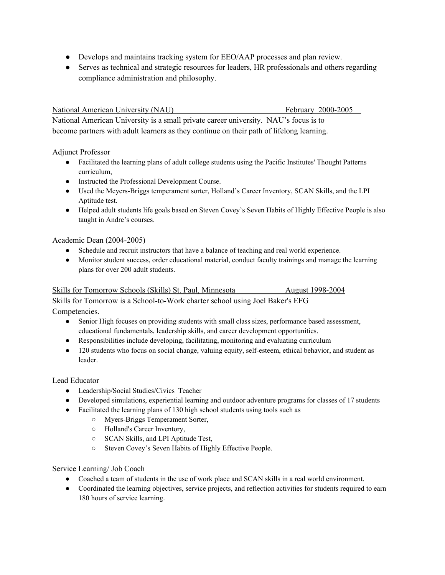- Develops and maintains tracking system for EEO/AAP processes and plan review.
- Serves as technical and strategic resources for leaders, HR professionals and others regarding compliance administration and philosophy.

National American University (NAU) February 2000-2005

National American University is a small private career university. NAU's focus is to become partners with adult learners as they continue on their path of lifelong learning.

## Adjunct Professor

- Facilitated the learning plans of adult college students using the Pacific Institutes' Thought Patterns curriculum,
- Instructed the Professional Development Course.
- Used the Meyers-Briggs temperament sorter, Holland's Career Inventory, SCAN Skills, and the LPI Aptitude test.
- Helped adult students life goals based on Steven Covey's Seven Habits of Highly Effective People is also taught in Andre's courses.

## Academic Dean (2004-2005)

- Schedule and recruit instructors that have a balance of teaching and real world experience.
- Monitor student success, order educational material, conduct faculty trainings and manage the learning plans for over 200 adult students.

## Skills for Tomorrow Schools (Skills) St. Paul, Minnesota **August** 1998-2004

Skills for Tomorrow is a School-to-Work charter school using Joel Baker's EFG Competencies.

- Senior High focuses on providing students with small class sizes, performance based assessment, educational fundamentals, leadership skills, and career development opportunities.
- Responsibilities include developing, facilitating, monitoring and evaluating curriculum
- 120 students who focus on social change, valuing equity, self-esteem, ethical behavior, and student as leader.

### Lead Educator

- Leadership/Social Studies/Civics Teacher
- Developed simulations, experiential learning and outdoor adventure programs for classes of 17 students
- Facilitated the learning plans of 130 high school students using tools such as
	- Myers-Briggs Temperament Sorter,
	- Holland's Career Inventory,
	- SCAN Skills, and LPI Aptitude Test,
	- Steven Covey's Seven Habits of Highly Effective People.

## Service Learning/ Job Coach

- Coached a team of students in the use of work place and SCAN skills in a real world environment.
- Coordinated the learning objectives, service projects, and reflection activities for students required to earn 180 hours of service learning.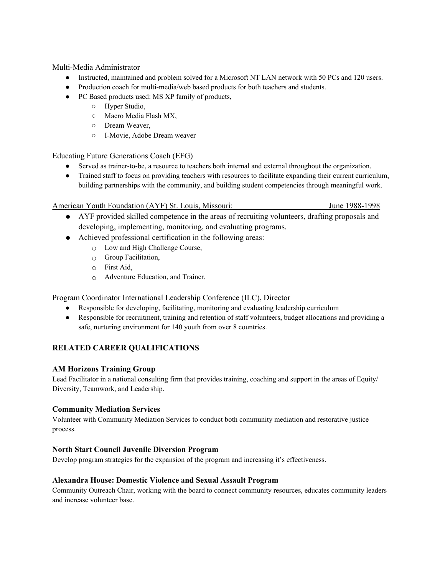Multi-Media Administrator

- Instructed, maintained and problem solved for a Microsoft NT LAN network with 50 PCs and 120 users.
- Production coach for multi-media/web based products for both teachers and students.
- PC Based products used: MS XP family of products,
	- Hyper Studio,
	- Macro Media Flash MX,
	- Dream Weaver,
	- I-Movie, Adobe Dream weaver

Educating Future Generations Coach (EFG)

- Served as trainer-to-be, a resource to teachers both internal and external throughout the organization.
- Trained staff to focus on providing teachers with resources to facilitate expanding their current curriculum, building partnerships with the community, and building student competencies through meaningful work.

American Youth Foundation (AYF) St. Louis, Missouri: June 1988-1998

- AYF provided skilled competence in the areas of recruiting volunteers, drafting proposals and developing, implementing, monitoring, and evaluating programs.
- Achieved professional certification in the following areas:
	- Low and High Challenge Course,
	- $\circ$  Group Facilitation,
	- First Aid,
	- Adventure Education, and Trainer.

Program Coordinator International Leadership Conference (ILC), Director

- Responsible for developing, facilitating, monitoring and evaluating leadership curriculum
- Responsible for recruitment, training and retention of staff volunteers, budget allocations and providing a safe, nurturing environment for 140 youth from over 8 countries.

## **RELATED CAREER QUALIFICATIONS**

## **AM Horizons Training Group**

Lead Facilitator in a national consulting firm that provides training, coaching and support in the areas of Equity/ Diversity, Teamwork, and Leadership.

### **Community Mediation Services**

Volunteer with Community Mediation Services to conduct both community mediation and restorative justice process.

### **North Start Council Juvenile Diversion Program**

Develop program strategies for the expansion of the program and increasing it's effectiveness.

### **Alexandra House: Domestic Violence and Sexual Assault Program**

Community Outreach Chair, working with the board to connect community resources, educates community leaders and increase volunteer base.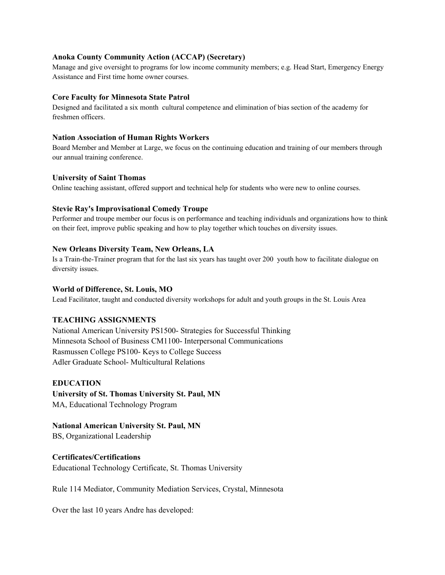### **Anoka County Community Action (ACCAP) (Secretary)**

Manage and give oversight to programs for low income community members; e.g. Head Start, Emergency Energy Assistance and First time home owner courses.

#### **Core Faculty for Minnesota State Patrol**

Designed and facilitated a six month cultural competence and elimination of bias section of the academy for freshmen officers.

#### **Nation Association of Human Rights Workers**

Board Member and Member at Large, we focus on the continuing education and training of our members through our annual training conference.

### **University of Saint Thomas**

Online teaching assistant, offered support and technical help for students who were new to online courses.

### **Stevie Ray's Improvisational Comedy Troupe**

Performer and troupe member our focus is on performance and teaching individuals and organizations how to think on their feet, improve public speaking and how to play together which touches on diversity issues.

### **New Orleans Diversity Team, New Orleans, LA**

Is a Train-the-Trainer program that for the last six years has taught over 200 youth how to facilitate dialogue on diversity issues.

#### **World of Difference, St. Louis, MO**

Lead Facilitator, taught and conducted diversity workshops for adult and youth groups in the St. Louis Area

### **TEACHING ASSIGNMENTS**

National American University PS1500- Strategies for Successful Thinking Minnesota School of Business CM1100- Interpersonal Communications Rasmussen College PS100- Keys to College Success Adler Graduate School- Multicultural Relations

### **EDUCATION**

**University of St. Thomas University St. Paul, MN** MA, Educational Technology Program

**National American University St. Paul, MN**

BS, Organizational Leadership

#### **Certificates/Certifications**

Educational Technology Certificate, St. Thomas University

Rule 114 Mediator, Community Mediation Services, Crystal, Minnesota

Over the last 10 years Andre has developed: